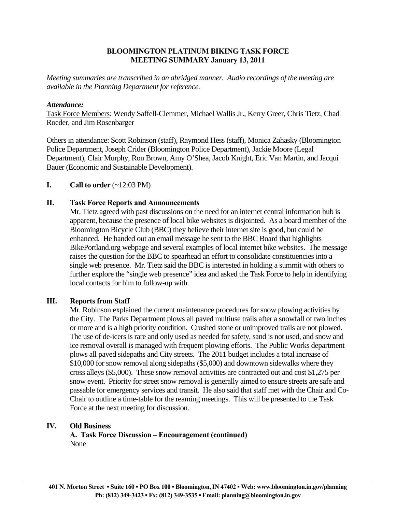# **BLOOMINGTON PLATINUM BIKING TASK FORCE MEETING SUMMARY January 13, 2011**

*Meeting summaries are transcribed in an abridged manner. Audio recordings of the meeting are available in the Planning Department for reference.* 

## *Attendance:*

Task Force Members: Wendy Saffell-Clemmer, Michael Wallis Jr., Kerry Greer, Chris Tietz, Chad Roeder, and Jim Rosenbarger

Others in attendance: Scott Robinson (staff), Raymond Hess (staff), Monica Zahasky (Bloomington Police Department, Joseph Crider (Bloomington Police Department), Jackie Moore (Legal Department), Clair Murphy, Ron Brown, Amy O'Shea, Jacob Knight, Eric Van Martin, and Jacqui Bauer (Economic and Sustainable Development).

## **I.** Call to order  $(\sim 12:03 \text{ PM})$

## **II. Task Force Reports and Announcements**

 Mr. Tietz agreed with past discussions on the need for an internet central information hub is apparent, because the presence of local bike websites is disjointed. As a board member of the Bloomington Bicycle Club (BBC) they believe their internet site is good, but could be enhanced. He handed out an email message he sent to the BBC Board that highlights BikePortland.org webpage and several examples of local internet bike websites. The message raises the question for the BBC to spearhead an effort to consolidate constituencies into a single web presence. Mr. Tietz said the BBC is interested in holding a summit with others to further explore the "single web presence" idea and asked the Task Force to help in identifying local contacts for him to follow-up with.

#### **III. Reports from Staff**

Mr. Robinson explained the current maintenance procedures for snow plowing activities by the City. The Parks Department plows all paved multiuse trails after a snowfall of two inches or more and is a high priority condition. Crushed stone or unimproved trails are not plowed. The use of de-icers is rare and only used as needed for safety, sand is not used, and snow and ice removal overall is managed with frequent plowing efforts. The Public Works department plows all paved sidepaths and City streets. The 2011 budget includes a total increase of \$10,000 for snow removal along sidepaths (\$5,000) and downtown sidewalks where they cross alleys (\$5,000). These snow removal activities are contracted out and cost \$1,275 per snow event. Priority for street snow removal is generally aimed to ensure streets are safe and passable for emergency services and transit. He also said that staff met with the Chair and Co-Chair to outline a time-table for the reaming meetings. This will be presented to the Task Force at the next meeting for discussion.

#### **IV. Old Business**

 **A. Task Force Discussion – Encouragement (continued)** None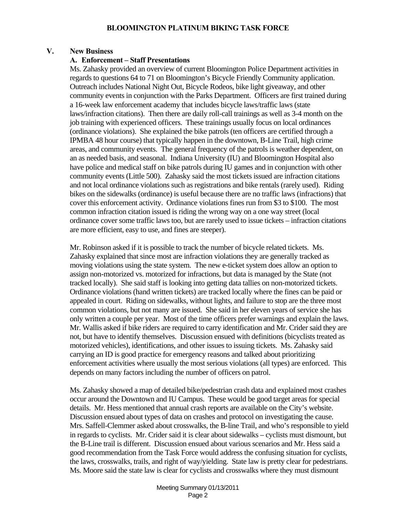# **V. New Business**

### **A. Enforcement – Staff Presentations**

Ms. Zahasky provided an overview of current Bloomington Police Department activities in regards to questions 64 to 71 on Bloomington's Bicycle Friendly Community application. Outreach includes National Night Out, Bicycle Rodeos, bike light giveaway, and other community events in conjunction with the Parks Department. Officers are first trained during a 16-week law enforcement academy that includes bicycle laws/traffic laws (state laws/infraction citations). Then there are daily roll-call trainings as well as 3-4 month on the job training with experienced officers. These trainings usually focus on local ordinances (ordinance violations). She explained the bike patrols (ten officers are certified through a IPMBA 48 hour course) that typically happen in the downtown, B-Line Trail, high crime areas, and community events. The general frequency of the patrols is weather dependent, on an as needed basis, and seasonal. Indiana University (IU) and Bloomington Hospital also have police and medical staff on bike patrols during IU games and in conjunction with other community events (Little 500). Zahasky said the most tickets issued are infraction citations and not local ordinance violations such as registrations and bike rentals (rarely used). Riding bikes on the sidewalks (ordinance) is useful because there are no traffic laws (infractions) that cover this enforcement activity. Ordinance violations fines run from \$3 to \$100. The most common infraction citation issued is riding the wrong way on a one way street (local ordinance cover some traffic laws too, but are rarely used to issue tickets – infraction citations are more efficient, easy to use, and fines are steeper).

Mr. Robinson asked if it is possible to track the number of bicycle related tickets. Ms. Zahasky explained that since most are infraction violations they are generally tracked as moving violations using the state system. The new e-ticket system does allow an option to assign non-motorized vs. motorized for infractions, but data is managed by the State (not tracked locally). She said staff is looking into getting data tallies on non-motorized tickets. Ordinance violations (hand written tickets) are tracked locally where the fines can be paid or appealed in court. Riding on sidewalks, without lights, and failure to stop are the three most common violations, but not many are issued. She said in her eleven years of service she has only written a couple per year. Most of the time officers prefer warnings and explain the laws. Mr. Wallis asked if bike riders are required to carry identification and Mr. Crider said they are not, but have to identify themselves. Discussion ensued with definitions (bicyclists treated as motorized vehicles), identifications, and other issues to issuing tickets. Ms. Zahasky said carrying an ID is good practice for emergency reasons and talked about prioritizing enforcement activities where usually the most serious violations (all types) are enforced. This depends on many factors including the number of officers on patrol.

Ms. Zahasky showed a map of detailed bike/pedestrian crash data and explained most crashes occur around the Downtown and IU Campus. These would be good target areas for special details. Mr. Hess mentioned that annual crash reports are available on the City's website. Discussion ensued about types of data on crashes and protocol on investigating the cause. Mrs. Saffell-Clemmer asked about crosswalks, the B-line Trail, and who's responsible to yield in regards to cyclists. Mr. Crider said it is clear about sidewalks – cyclists must dismount, but the B-Line trail is different. Discussion ensued about various scenarios and Mr. Hess said a good recommendation from the Task Force would address the confusing situation for cyclists, the laws, crosswalks, trails, and right of way/yielding. State law is pretty clear for pedestrians. Ms. Moore said the state law is clear for cyclists and crosswalks where they must dismount